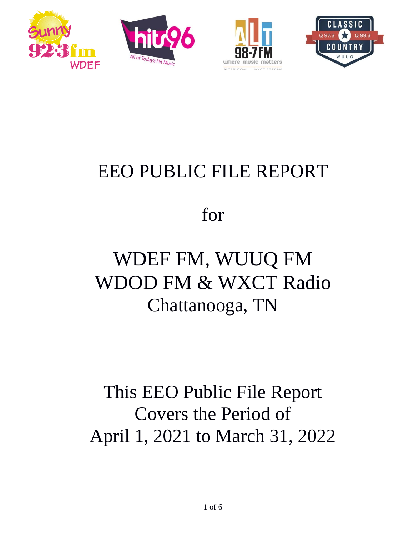







# EEO PUBLIC FILE REPORT

for

# WDEF FM, WUUQ FM WDOD FM & WXCT Radio Chattanooga, TN

# This EEO Public File Report Covers the Period of April 1, 2021 to March 31, 2022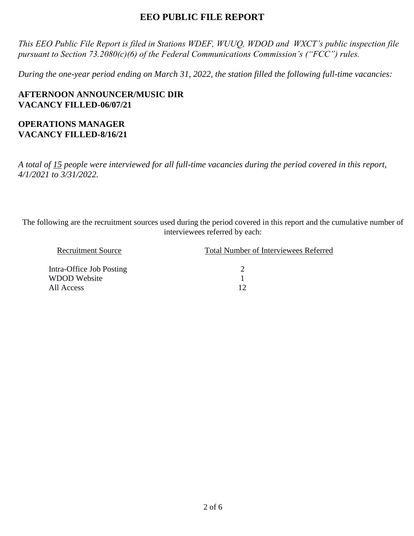# **EEO PUBLIC FILE REPORT**

*This EEO Public File Report is filed in Stations WDEF, WUUQ, WDOD and WXCT's public inspection file pursuant to Section 73.2080(c)(6) of the Federal Communications Commission's ("FCC") rules.* 

*During the one-year period ending on March 31, 2022, the station filled the following full-time vacancies:*

**AFTERNOON ANNOUNCER/MUSIC DIR VACANCY FILLED-06/07/21**

#### **OPERATIONS MANAGER VACANCY FILLED-8/16/21**

*A total of 15 people were interviewed for all full-time vacancies during the period covered in this report, 4/1/2021 to 3/31/2022.*

The following are the recruitment sources used during the period covered in this report and the cumulative number of interviewees referred by each:

| <b>Total Number of Interviewees Referred</b> |
|----------------------------------------------|
|                                              |
|                                              |
|                                              |
|                                              |
|                                              |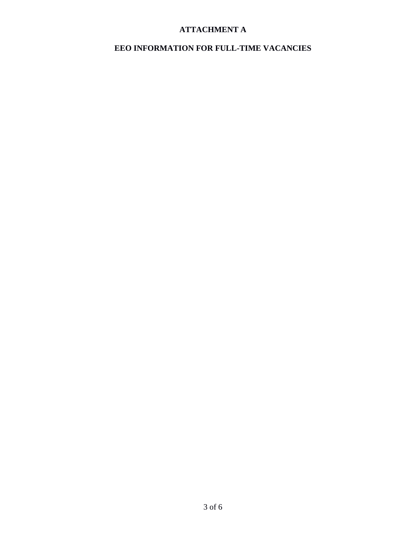# **ATTACHMENT A**

### **EEO INFORMATION FOR FULL-TIME VACANCIES**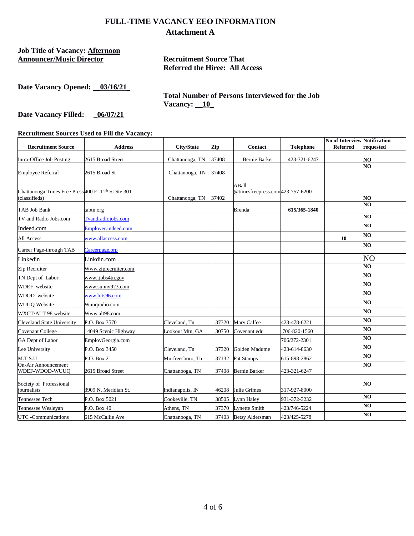#### **FULL-TIME VACANCY EEO INFORMATION Attachment A**

**Job Title of Vacancy: Afternoon Announcer/Music Director Recruitment Source That** 

**Referred the Hiree: All Access** 

| Date Vacancy Opened: |  | 03/16/21 |
|----------------------|--|----------|
|----------------------|--|----------|

**Total Number of Persons Interviewed for the Job Vacancy: \_\_10\_**

Date Vacancy Filled: **\_06/07/21** 

**Recruitment Sources Used to Fill the Vacancy:** 

| <b>Recruitment Source</b>                                                       | <b>Address</b>       | <b>City/State</b> | Zip   | <b>Contact</b>                           | <b>Telephone</b> | <b>No of Interview Notification</b><br><b>Referred</b> | requested |
|---------------------------------------------------------------------------------|----------------------|-------------------|-------|------------------------------------------|------------------|--------------------------------------------------------|-----------|
| Intra-Office Job Posting                                                        | 2615 Broad Street    | Chattanooga, TN   | 37408 | Bernie Barker                            | 423-321-6247     |                                                        | NO        |
|                                                                                 |                      |                   |       |                                          |                  |                                                        | NO        |
| <b>Employee Referral</b>                                                        | 2615 Broad St        | Chattanooga, TN   | 37408 |                                          |                  |                                                        |           |
| Chattanooga Times Free Press400 E. 11 <sup>th</sup> St Ste 301<br>(classifieds) |                      | Chattanooga, TN   | 37402 | ABall<br>@timesfreepress.com423-757-6200 |                  |                                                        | NO        |
| TAB Job Bank                                                                    | tabtn.org            |                   |       | Brenda                                   | 615/365-1840     |                                                        | NO        |
| TV and Radio Jobs.com                                                           | Tvandradiojobs.com   |                   |       |                                          |                  |                                                        | NO        |
| Indeed.com                                                                      | Employer.indeed.com  |                   |       |                                          |                  |                                                        | NO        |
| All Access                                                                      | www.allaccess.com    |                   |       |                                          |                  | 10                                                     | NO        |
| Career Page-through TAB                                                         | Careerpage.orp       |                   |       |                                          |                  |                                                        | NO        |
| Linkedin                                                                        | Linkdin.com          |                   |       |                                          |                  |                                                        | NO        |
| Zip Recruiter                                                                   | Www.ziprecruiter.com |                   |       |                                          |                  |                                                        | NО        |
| TN Dept of Labor                                                                | wwwjobs4tn.gov       |                   |       |                                          |                  |                                                        | NO        |
| WDEF website                                                                    | www.sunny923.com     |                   |       |                                          |                  |                                                        | NO        |
| WDOD website                                                                    | www.hits96.com       |                   |       |                                          |                  |                                                        | NO        |
| <b>WUUQ</b> Website                                                             | Wuuqradio.com        |                   |       |                                          |                  |                                                        | NO        |
| WXCT/ALT 98 website                                                             | Www.alt98.com        |                   |       |                                          |                  |                                                        | NO        |
| <b>Cleveland State University</b>                                               | P.O. Box 3570        | Cleveland, Tn     | 37320 | Mary Calfee                              | 423-478-6221     |                                                        | NO.       |
| <b>Covenant College</b>                                                         | 14049 Scenic Highway | Lookout Mtn, GA   | 30750 | Covenant.edu                             | 706-820-1560     |                                                        | NO        |
| GA Dept of Labor                                                                | EmployGeorgia.com    |                   |       |                                          | 706/272-2301     |                                                        | NO        |
| Lee University                                                                  | P.O. Box 3450        | Cleveland, Tn     | 37320 | Golden Madume                            | 423-614-8630     |                                                        | NO        |
| M.T.S.U                                                                         | P.O. Box 2           | Murfreesboro, Tn  | 37132 | Pat Stamps                               | 615-898-2862     |                                                        | NO        |
| <b>On-Air Announcement</b><br>WDEF-WDOD-WUUQ                                    | 2615 Broad Street    | Chattanooga, TN   | 37408 | <b>Bernie Barker</b>                     | 423-321-6247     |                                                        | NO        |
| Society of Professional<br>iournalists                                          | 3909 N. Meridian St. | Indianapolis, IN  | 46208 | Julie Grimes                             | 317-927-8000     |                                                        | NO        |
| Tennessee Tech                                                                  | P.O. Box 5021        | Cookeville, TN    | 38505 | Lynn Haley                               | 931-372-3232     |                                                        | NO        |
| Tennessee Wesleyan                                                              | P.O. Box 40          | Athens, TN        | 37370 | <b>Lynette Smith</b>                     | 423/746-5224     |                                                        | NO        |
| UTC -Communications                                                             | 615 McCallie Ave     | Chattanooga, TN   | 37403 | <b>Betsy Aldersman</b>                   | 423/425-5278     |                                                        | NO        |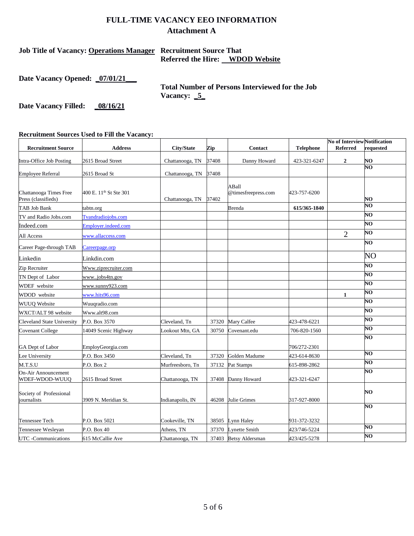### **FULL-TIME VACANCY EEO INFORMATION Attachment A**

#### **Job Title of Vacancy: Operations Manager Recruitment Source That Referred the Hire: WDOD Website**

**Date Vacancy Opened: \_07/01/21\_\_\_**

**Total Number of Persons Interviewed for the Job Vacancy: \_5\_**

Date Vacancy Filled: \_08/16/21

**Recruitment Sources Used to Fill the Vacancy:** 

| <b>Recruitment Source</b>                     | <b>Address</b>                     | City/State       | Zip   | Contact               | <b>Telephone</b> | <b>No of Interview Notification</b><br><b>Referred</b> | requested |
|-----------------------------------------------|------------------------------------|------------------|-------|-----------------------|------------------|--------------------------------------------------------|-----------|
|                                               |                                    |                  |       |                       |                  |                                                        |           |
| Intra-Office Job Posting                      | 2615 Broad Street                  | Chattanooga, TN  | 37408 | Danny Howard          | 423-321-6247     | $\mathbf{2}$                                           | NO        |
| <b>Employee Referral</b>                      | 2615 Broad St                      | Chattanooga, TN  | 37408 |                       |                  |                                                        | NО        |
|                                               |                                    |                  |       |                       |                  |                                                        |           |
|                                               |                                    |                  |       | ABall                 |                  |                                                        |           |
| Chattanooga Times Free<br>Press (classifieds) | 400 E. 11 <sup>th</sup> St Ste 301 | Chattanooga, TN  | 37402 | @timesfreepress.com   | 423-757-6200     |                                                        | NO        |
| TAB Job Bank                                  | tabtn.org                          |                  |       | <b>Brenda</b>         | 615/365-1840     |                                                        | NO        |
| TV and Radio Jobs.com                         | Tvandradiojobs.com                 |                  |       |                       |                  |                                                        | NO        |
| Indeed.com                                    | Employer.indeed.com                |                  |       |                       |                  |                                                        | NO        |
| All Access                                    | www.allaccess.com                  |                  |       |                       |                  | $\overline{2}$                                         | NO        |
| Career Page-through TAB                       | Careerpage.orp                     |                  |       |                       |                  |                                                        | NO        |
| Linkedin                                      | Linkdin.com                        |                  |       |                       |                  |                                                        | NO        |
| Zip Recruiter                                 | Www.ziprecruiter.com               |                  |       |                       |                  |                                                        | NO        |
| TN Dept of Labor                              | wwwjobs4tn.gov                     |                  |       |                       |                  |                                                        | NО        |
| WDEF website                                  | www.sunny923.com                   |                  |       |                       |                  |                                                        | NO        |
| WDOD website                                  | www.hits96.com                     |                  |       |                       |                  | $\mathbf{1}$                                           | NO        |
| <b>WUUO Website</b>                           | Wuuqradio.com                      |                  |       |                       |                  |                                                        | NO        |
| WXCT/ALT 98 website                           | Www.alt98.com                      |                  |       |                       |                  |                                                        | NO        |
| <b>Cleveland State University</b>             | P.O. Box 3570                      | Cleveland, Tn    | 37320 | Mary Calfee           | 423-478-6221     |                                                        | NO        |
| <b>Covenant College</b>                       | 4049 Scenic Highway                | Lookout Mtn, GA  | 30750 | Covenant.edu          | 706-820-1560     |                                                        | NО        |
|                                               |                                    |                  |       |                       |                  |                                                        | NO        |
| GA Dept of Labor                              | EmployGeorgia.com                  |                  |       |                       | 706/272-2301     |                                                        |           |
| Lee University                                | P.O. Box 3450                      | Cleveland, Tn    | 37320 | Golden Madume         | 423-614-8630     |                                                        | NО        |
| M.T.S.U                                       | P.O. Box 2                         | Murfreesboro, Tn | 37132 | Pat Stamps            | 615-898-2862     |                                                        | NО        |
| On-Air Announcement<br>WDEF-WDOD-WUUQ         | 2615 Broad Street                  | Chattanooga, TN  | 37408 | Danny Howard          | 423-321-6247     |                                                        | NO        |
| Society of Professional<br>journalists        | 3909 N. Meridian St.               | Indianapolis, IN |       | 46208 Julie Grimes    | 317-927-8000     |                                                        | NO        |
|                                               |                                    |                  |       |                       |                  |                                                        | NO        |
|                                               |                                    |                  |       |                       |                  |                                                        |           |
| Tennessee Tech                                | P.O. Box 5021                      | Cookeville, TN   | 38505 | Lynn Haley            | 931-372-3232     |                                                        | NO        |
| Tennessee Wesleyan                            | P.O. Box 40                        | Athens, TN       | 37370 | <b>Lynette Smith</b>  | 423/746-5224     |                                                        | NO        |
| UTC -Communications                           | 615 McCallie Ave                   | Chattanooga, TN  |       | 37403 Betsy Aldersman | 423/425-5278     |                                                        |           |